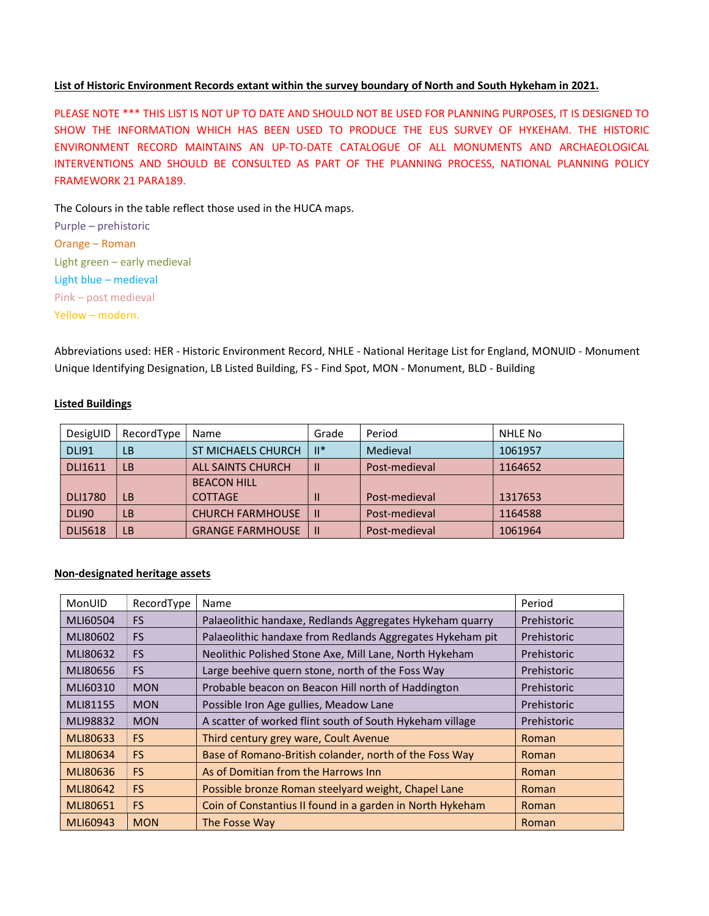## List of Historic Environment Records extant within the survey boundary of North and South Hykeham in 2021.

PLEASE NOTE \*\*\* THIS LIST IS NOT UP TO DATE AND SHOULD NOT BE USED FOR PLANNING PURPOSES, IT IS DESIGNED TO SHOW THE INFORMATION WHICH HAS BEEN USED TO PRODUCE THE EUS SURVEY OF HYKEHAM. THE HISTORIC ENVIRONMENT RECORD MAINTAINS AN UP-TO-DATE CATALOGUE OF ALL MONUMENTS AND ARCHAEOLOGICAL INTERVENTIONS AND SHOULD BE CONSULTED AS PART OF THE PLANNING PROCESS, NATIONAL PLANNING POLICY FRAMEWORK 21 PARA189.

The Colours in the table reflect those used in the HUCA maps.

Purple – prehistoric Orange – Roman Light green – early medieval Light blue – medieval Pink – post medieval Yellow – modern.

Abbreviations used: HER - Historic Environment Record, NHLE - National Heritage List for England, MONUID - Monument Unique Identifying Designation, LB Listed Building, FS - Find Spot, MON - Monument, BLD - Building

## Listed Buildings

| DesigUID       | RecordType | Name                      | Grade  | Period        | NHLE No |
|----------------|------------|---------------------------|--------|---------------|---------|
| <b>DLI91</b>   | LΒ         | <b>ST MICHAELS CHURCH</b> | $  ^*$ | Medieval      | 1061957 |
| <b>DLI1611</b> | LB         | <b>ALL SAINTS CHURCH</b>  |        | Post-medieval | 1164652 |
|                |            | <b>BEACON HILL</b>        |        |               |         |
| <b>DLI1780</b> | LB         | <b>COTTAGE</b>            |        | Post-medieval | 1317653 |
| <b>DLI90</b>   | LΒ         | <b>CHURCH FARMHOUSE</b>   |        | Post-medieval | 1164588 |
| <b>DLI5618</b> | LB         | <b>GRANGE FARMHOUSE</b>   |        | Post-medieval | 1061964 |

## Non-designated heritage assets

| MonUID   | RecordType | <b>Name</b>                                               | Period      |
|----------|------------|-----------------------------------------------------------|-------------|
| MLI60504 | <b>FS</b>  | Palaeolithic handaxe, Redlands Aggregates Hykeham quarry  | Prehistoric |
| MLI80602 | <b>FS</b>  | Palaeolithic handaxe from Redlands Aggregates Hykeham pit | Prehistoric |
| MLI80632 | <b>FS</b>  | Neolithic Polished Stone Axe, Mill Lane, North Hykeham    | Prehistoric |
| MLI80656 | <b>FS</b>  | Large beehive quern stone, north of the Foss Way          | Prehistoric |
| MLI60310 | <b>MON</b> | Probable beacon on Beacon Hill north of Haddington        | Prehistoric |
| MLI81155 | <b>MON</b> | Possible Iron Age gullies, Meadow Lane                    | Prehistoric |
| MLI98832 | <b>MON</b> | A scatter of worked flint south of South Hykeham village  | Prehistoric |
| MLI80633 | FS.        | Third century grey ware, Coult Avenue                     | Roman       |
| MLI80634 | <b>FS</b>  | Base of Romano-British colander, north of the Foss Way    | Roman       |
| MLI80636 | <b>FS</b>  | As of Domitian from the Harrows Inn                       | Roman       |
| MLI80642 | <b>FS</b>  | Possible bronze Roman steelyard weight, Chapel Lane       | Roman       |
| MLI80651 | <b>FS</b>  | Coin of Constantius II found in a garden in North Hykeham | Roman       |
| MLI60943 | <b>MON</b> | The Fosse Way                                             | Roman       |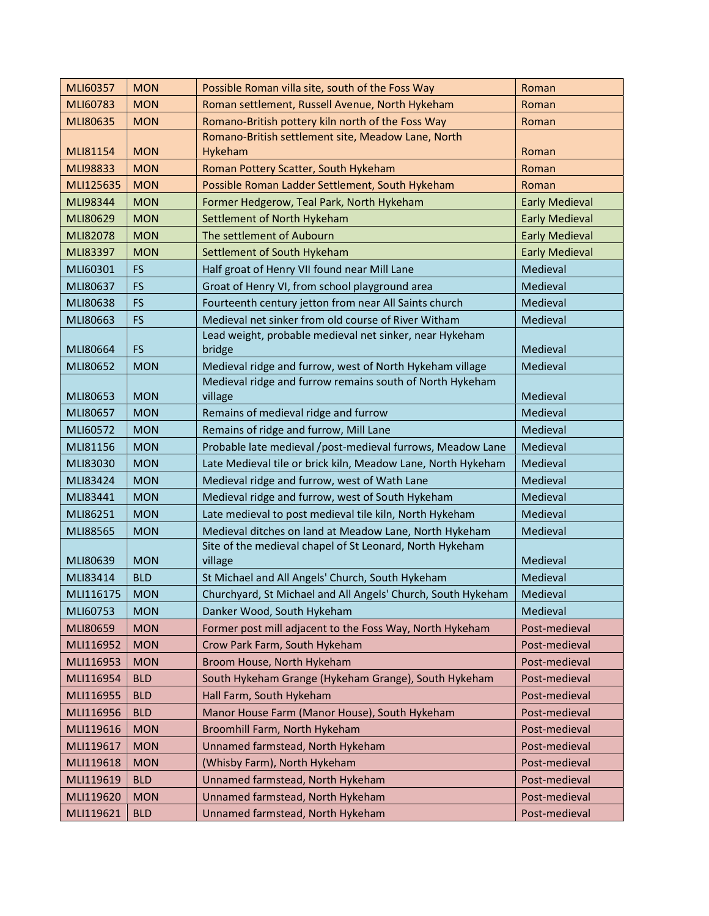| MLI60357  | <b>MON</b> | Possible Roman villa site, south of the Foss Way             | Roman                 |
|-----------|------------|--------------------------------------------------------------|-----------------------|
| MLI60783  | <b>MON</b> | Roman settlement, Russell Avenue, North Hykeham              | Roman                 |
| MLI80635  | <b>MON</b> | Romano-British pottery kiln north of the Foss Way            | Roman                 |
|           |            | Romano-British settlement site, Meadow Lane, North           |                       |
| MLI81154  | <b>MON</b> | Hykeham                                                      | Roman                 |
| MLI98833  | <b>MON</b> | Roman Pottery Scatter, South Hykeham                         | Roman                 |
| MLI125635 | <b>MON</b> | Possible Roman Ladder Settlement, South Hykeham              | Roman                 |
| MLI98344  | <b>MON</b> | Former Hedgerow, Teal Park, North Hykeham                    | <b>Early Medieval</b> |
| MLI80629  | <b>MON</b> | Settlement of North Hykeham                                  | <b>Early Medieval</b> |
| MLI82078  | <b>MON</b> | The settlement of Aubourn                                    | <b>Early Medieval</b> |
| MLI83397  | <b>MON</b> | Settlement of South Hykeham                                  | <b>Early Medieval</b> |
| MLI60301  | <b>FS</b>  | Half groat of Henry VII found near Mill Lane                 | Medieval              |
| MLI80637  | <b>FS</b>  | Groat of Henry VI, from school playground area               | Medieval              |
| MLI80638  | <b>FS</b>  | Fourteenth century jetton from near All Saints church        | Medieval              |
| MLI80663  | <b>FS</b>  | Medieval net sinker from old course of River Witham          | Medieval              |
|           |            | Lead weight, probable medieval net sinker, near Hykeham      |                       |
| MLI80664  | <b>FS</b>  | bridge                                                       | Medieval              |
| MLI80652  | <b>MON</b> | Medieval ridge and furrow, west of North Hykeham village     | Medieval              |
|           |            | Medieval ridge and furrow remains south of North Hykeham     |                       |
| MLI80653  | <b>MON</b> | village                                                      | Medieval              |
| MLI80657  | <b>MON</b> | Remains of medieval ridge and furrow                         | Medieval              |
| MLI60572  | <b>MON</b> | Remains of ridge and furrow, Mill Lane                       | Medieval              |
| MLI81156  | <b>MON</b> | Probable late medieval /post-medieval furrows, Meadow Lane   | Medieval              |
| MLI83030  | <b>MON</b> | Late Medieval tile or brick kiln, Meadow Lane, North Hykeham | Medieval              |
| MLI83424  | <b>MON</b> | Medieval ridge and furrow, west of Wath Lane                 | Medieval              |
| MLI83441  | <b>MON</b> | Medieval ridge and furrow, west of South Hykeham             | Medieval              |
| MLI86251  | <b>MON</b> | Late medieval to post medieval tile kiln, North Hykeham      | Medieval              |
| MLI88565  | <b>MON</b> | Medieval ditches on land at Meadow Lane, North Hykeham       | Medieval              |
|           |            | Site of the medieval chapel of St Leonard, North Hykeham     |                       |
| MLI80639  | <b>MON</b> | village                                                      | Medieval              |
| MLI83414  | <b>BLD</b> | St Michael and All Angels' Church, South Hykeham             | Medieval              |
| MLI116175 | <b>MON</b> | Churchyard, St Michael and All Angels' Church, South Hykeham | Medieval              |
| MLI60753  | <b>MON</b> | Danker Wood, South Hykeham                                   | Medieval              |
| MLI80659  | <b>MON</b> | Former post mill adjacent to the Foss Way, North Hykeham     | Post-medieval         |
| MLI116952 | <b>MON</b> | Crow Park Farm, South Hykeham                                | Post-medieval         |
| MLI116953 | <b>MON</b> | Broom House, North Hykeham                                   | Post-medieval         |
| MLI116954 | <b>BLD</b> | South Hykeham Grange (Hykeham Grange), South Hykeham         | Post-medieval         |
| MLI116955 | <b>BLD</b> | Hall Farm, South Hykeham                                     | Post-medieval         |
| MLI116956 | <b>BLD</b> | Manor House Farm (Manor House), South Hykeham                | Post-medieval         |
| MLI119616 | <b>MON</b> | Broomhill Farm, North Hykeham                                | Post-medieval         |
| MLI119617 | <b>MON</b> | Unnamed farmstead, North Hykeham                             | Post-medieval         |
| MLI119618 | <b>MON</b> | (Whisby Farm), North Hykeham                                 | Post-medieval         |
| MLI119619 | <b>BLD</b> | Unnamed farmstead, North Hykeham                             | Post-medieval         |
| MLI119620 | <b>MON</b> | Unnamed farmstead, North Hykeham                             | Post-medieval         |
| MLI119621 | <b>BLD</b> | Unnamed farmstead, North Hykeham                             | Post-medieval         |